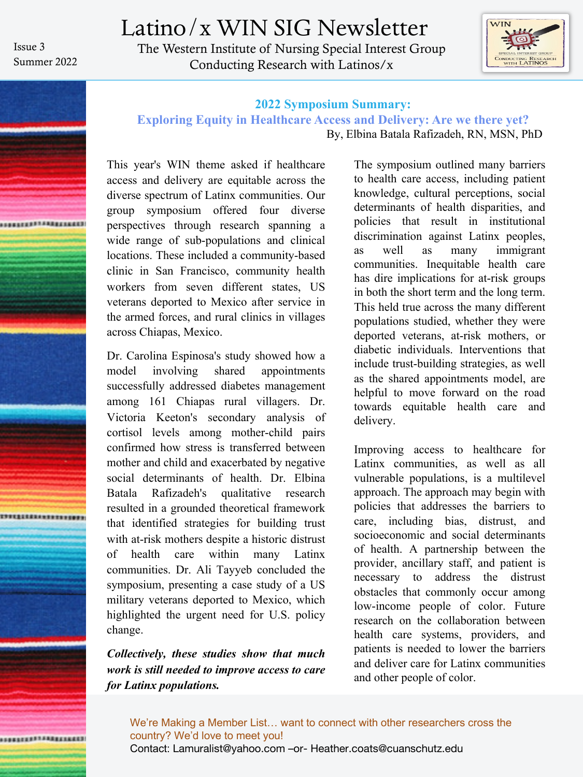Issue 3 Summer 2022 Latino/x WIN SIG Newsletter The Western Institute of Nursing Special Interest Group Conducting Research with Latinos/x



# **ARAFERST FREEZEREE**

### **2022 Symposium Summary:**

### **Exploring Equity in Healthcare Access and Delivery: Are we there yet?**

By, Elbina Batala Rafizadeh, RN, MSN, PhD

This year's WIN theme asked if healthcare access and delivery are equitable across the diverse spectrum of Latinx communities. Our group symposium offered four diverse perspectives through research spanning a wide range of sub-populations and clinical locations. These included a community-based clinic in San Francisco, community health workers from seven different states, US veterans deported to Mexico after service in the armed forces, and rural clinics in villages across Chiapas, Mexico.

Dr. Carolina Espinosa's study showed how a model involving shared appointments successfully addressed diabetes management among 161 Chiapas rural villagers. Dr. Victoria Keeton's secondary analysis of cortisol levels among mother-child pairs confirmed how stress is transferred between mother and child and exacerbated by negative social determinants of health. Dr. Elbina Batala Rafizadeh's qualitative research resulted in a grounded theoretical framework that identified strategies for building trust with at-risk mothers despite a historic distrust of health care within many Latinx communities. Dr. Ali Tayyeb concluded the symposium, presenting a case study of a US military veterans deported to Mexico, which highlighted the urgent need for U.S. policy change.

*Collectively, these studies show that much work is still needed to improve access to care for Latinx populations.*

The symposium outlined many barriers to health care access, including patient knowledge, cultural perceptions, social determinants of health disparities, and policies that result in institutional discrimination against Latinx peoples, as well as many immigrant communities. Inequitable health care has dire implications for at-risk groups in both the short term and the long term. This held true across the many different populations studied, whether they were deported veterans, at-risk mothers, or diabetic individuals. Interventions that include trust-building strategies, as well as the shared appointments model, are helpful to move forward on the road towards equitable health care and delivery.

Improving access to healthcare for Latinx communities, as well as all vulnerable populations, is a multilevel approach. The approach may begin with policies that addresses the barriers to care, including bias, distrust, and socioeconomic and social determinants of health. A partnership between the provider, ancillary staff, and patient is necessary to address the distrust obstacles that commonly occur among low-income people of color. Future research on the collaboration between health care systems, providers, and patients is needed to lower the barriers and deliver care for Latinx communities and other people of color.

We're Making a Member List… want to connect with other researchers cross the country? We'd love to meet you! Contact: Lamuralist@yahoo.com –or- Heather.coats@cuanschutz.edu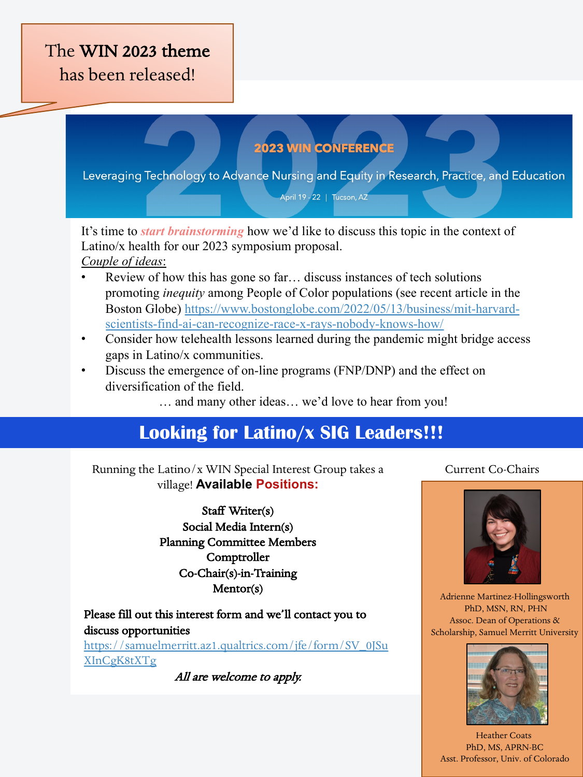## The WIN 2023 theme has been released!

### **2023 WIN CONFERENCE**

Leveraging Technology to Advance Nursing and Equity in Research, Practice, and Education

April 19 - 22 | Tucson, AZ

It's time to *start brainstorming* how we'd like to discuss this topic in the context of Lati[no/x health for our 2023 symposium proposal.](https://www.bostonglobe.com/2022/05/13/business/mit-harvard-scientists-find-ai-can-recognize-race-x-rays-nobody-knows-how/) 

- *Couple of ideas*:
- Review of how this has gone so far... discuss instances of tech solutions promoting *inequity* among People of Color populations (see recent article in the Boston Globe) https://www.bostonglobe.com/2022/05/13/business/mit-harvardscientists-find-ai-can-recognize-race-x-rays-nobody-knows-how/
- Consider how telehealth lessons learned during the pandemic might bridge access gaps in Latino/x communities.
- Discuss the emergence of on-line programs (FNP/DNP) and the effect on diversification of the field.
	- … and many other ideas… we'd love to hear from you!

### **Looking for Latino/x SIG Leaders!!!**

Running the Latino/x WIN Special Interest Group takes a Current Co-Chairs village! **Available Positions:**

> Staff Writer(s) Social Media Intern(s) Planning Committee Members Comptroller [Co-Chair\(s\)-in-Training](https://samuelmerritt.az1.qualtrics.com/jfe/form/SV_0JSuXInCgK8tXTg)  Mentor(s)

Please fill out this interest form and we'll contact you to discuss opportunities https://samuelmerritt.az1.qualtrics.com/jfe/form/SV\_0JSu XInCgK8tXTg

All are welcome to apply.



Adrienne Martinez-Hollingsworth PhD, MSN, RN, PHN Assoc. Dean of Operations & Scholarship, Samuel Merritt University



Heather Coats PhD, MS, APRN-BC Asst. Professor, Univ. of Colorado